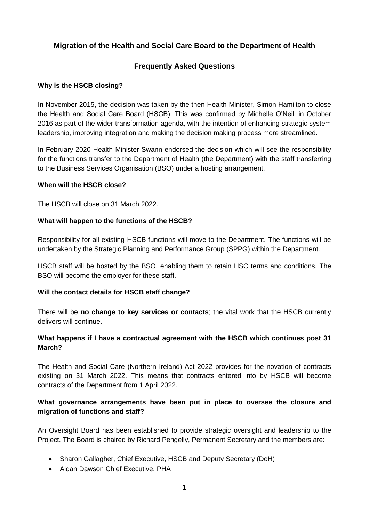# **Migration of the Health and Social Care Board to the Department of Health**

## **Frequently Asked Questions**

#### **Why is the HSCB closing?**

In November 2015, the decision was taken by the then Health Minister, Simon Hamilton to close the Health and Social Care Board (HSCB). This was confirmed by Michelle O'Neill in October 2016 as part of the wider transformation agenda, with the intention of enhancing strategic system leadership, improving integration and making the decision making process more streamlined.

In February 2020 Health Minister Swann endorsed the decision which will see the responsibility for the functions transfer to the Department of Health (the Department) with the staff transferring to the Business Services Organisation (BSO) under a hosting arrangement.

#### **When will the HSCB close?**

The HSCB will close on 31 March 2022.

### **What will happen to the functions of the HSCB?**

Responsibility for all existing HSCB functions will move to the Department. The functions will be undertaken by the Strategic Planning and Performance Group (SPPG) within the Department.

HSCB staff will be hosted by the BSO, enabling them to retain HSC terms and conditions. The BSO will become the employer for these staff.

## **Will the contact details for HSCB staff change?**

There will be **no change to key services or contacts**; the vital work that the HSCB currently delivers will continue.

## **What happens if I have a contractual agreement with the HSCB which continues post 31 March?**

The Health and Social Care (Northern Ireland) Act 2022 provides for the novation of contracts existing on 31 March 2022. This means that contracts entered into by HSCB will become contracts of the Department from 1 April 2022.

## **What governance arrangements have been put in place to oversee the closure and migration of functions and staff?**

An Oversight Board has been established to provide strategic oversight and leadership to the Project. The Board is chaired by Richard Pengelly, Permanent Secretary and the members are:

- Sharon Gallagher, Chief Executive, HSCB and Deputy Secretary (DoH)
- Aidan Dawson Chief Executive, PHA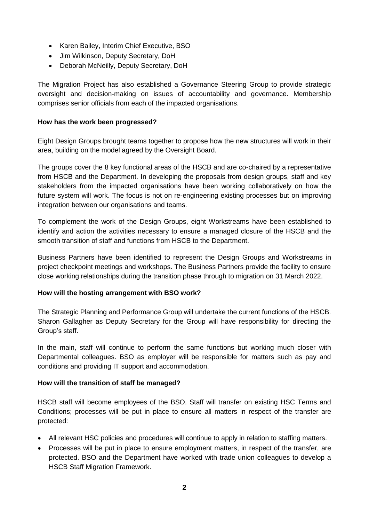- Karen Bailey, Interim Chief Executive, BSO
- Jim Wilkinson, Deputy Secretary, DoH
- Deborah McNeilly, Deputy Secretary, DoH

The Migration Project has also established a Governance Steering Group to provide strategic oversight and decision-making on issues of accountability and governance. Membership comprises senior officials from each of the impacted organisations.

### **How has the work been progressed?**

Eight Design Groups brought teams together to propose how the new structures will work in their area, building on the model agreed by the Oversight Board.

The groups cover the 8 key functional areas of the HSCB and are co-chaired by a representative from HSCB and the Department. In developing the proposals from design groups, staff and key stakeholders from the impacted organisations have been working collaboratively on how the future system will work. The focus is not on re-engineering existing processes but on improving integration between our organisations and teams.

To complement the work of the Design Groups, eight Workstreams have been established to identify and action the activities necessary to ensure a managed closure of the HSCB and the smooth transition of staff and functions from HSCB to the Department.

Business Partners have been identified to represent the Design Groups and Workstreams in project checkpoint meetings and workshops. The Business Partners provide the facility to ensure close working relationships during the transition phase through to migration on 31 March 2022.

## **How will the hosting arrangement with BSO work?**

The Strategic Planning and Performance Group will undertake the current functions of the HSCB. Sharon Gallagher as Deputy Secretary for the Group will have responsibility for directing the Group's staff.

In the main, staff will continue to perform the same functions but working much closer with Departmental colleagues. BSO as employer will be responsible for matters such as pay and conditions and providing IT support and accommodation.

## **How will the transition of staff be managed?**

HSCB staff will become employees of the BSO. Staff will transfer on existing HSC Terms and Conditions; processes will be put in place to ensure all matters in respect of the transfer are protected:

- All relevant HSC policies and procedures will continue to apply in relation to staffing matters.
- Processes will be put in place to ensure employment matters, in respect of the transfer, are protected. BSO and the Department have worked with trade union colleagues to develop a HSCB Staff Migration Framework.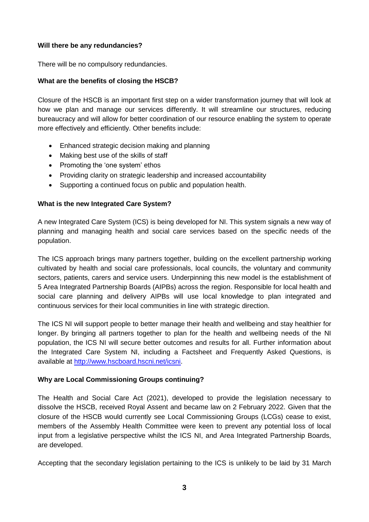## **Will there be any redundancies?**

There will be no compulsory redundancies.

### **What are the benefits of closing the HSCB?**

Closure of the HSCB is an important first step on a wider transformation journey that will look at how we plan and manage our services differently. It will streamline our structures, reducing bureaucracy and will allow for better coordination of our resource enabling the system to operate more effectively and efficiently. Other benefits include:

- Enhanced strategic decision making and planning
- Making best use of the skills of staff
- Promoting the 'one system' ethos
- Providing clarity on strategic leadership and increased accountability
- Supporting a continued focus on public and population health.

## **What is the new Integrated Care System?**

A new Integrated Care System (ICS) is being developed for NI. This system signals a new way of planning and managing health and social care services based on the specific needs of the population.

The ICS approach brings many partners together, building on the excellent partnership working cultivated by health and social care professionals, local councils, the voluntary and community sectors, patients, carers and service users. Underpinning this new model is the establishment of 5 Area Integrated Partnership Boards (AIPBs) across the region. Responsible for local health and social care planning and delivery AIPBs will use local knowledge to plan integrated and continuous services for their local communities in line with strategic direction.

The ICS NI will support people to better manage their health and wellbeing and stay healthier for longer. By bringing all partners together to plan for the health and wellbeing needs of the NI population, the ICS NI will secure better outcomes and results for all. Further information about the Integrated Care System NI, including a Factsheet and Frequently Asked Questions, is available at [http://www.hscboard.hscni.net/icsni.](http://www.hscboard.hscni.net/icsni)

## **Why are Local Commissioning Groups continuing?**

The Health and Social Care Act (2021), developed to provide the legislation necessary to dissolve the HSCB, received Royal Assent and became law on 2 February 2022. Given that the closure of the HSCB would currently see Local Commissioning Groups (LCGs) cease to exist, members of the Assembly Health Committee were keen to prevent any potential loss of local input from a legislative perspective whilst the ICS NI, and Area Integrated Partnership Boards, are developed.

Accepting that the secondary legislation pertaining to the ICS is unlikely to be laid by 31 March